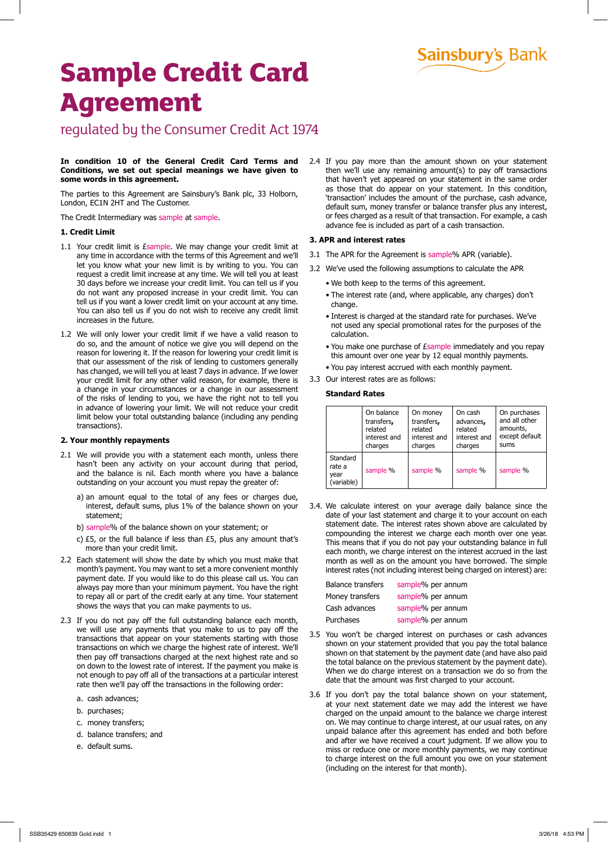## **Sainsbury's Bank**

# **Sample Credit Card Agreement**

### regulated by the Consumer Credit Act 1974

#### **In condition 10 of the General Credit Card Terms and Conditions, we set out special meanings we have given to some words in this agreement.**

The parties to this Agreement are Sainsbury's Bank plc, 33 Holborn, London, EC1N 2HT and The Customer.

The Credit Intermediary was sample at sample.

#### **1. Credit Limit**

- 1.1 Your credit limit is *Esample*. We may change your credit limit at any time in accordance with the terms of this Agreement and we'll let you know what your new limit is by writing to you. You can request a credit limit increase at any time. We will tell you at least 30 days before we increase your credit limit. You can tell us if you do not want any proposed increase in your credit limit. You can tell us if you want a lower credit limit on your account at any time. You can also tell us if you do not wish to receive any credit limit increases in the future.
- 1.2 We will only lower your credit limit if we have a valid reason to do so, and the amount of notice we give you will depend on the reason for lowering it. If the reason for lowering your credit limit is that our assessment of the risk of lending to customers generally has changed, we will tell you at least 7 days in advance. If we lower your credit limit for any other valid reason, for example, there is a change in your circumstances or a change in our assessment of the risks of lending to you, we have the right not to tell you in advance of lowering your limit. We will not reduce your credit limit below your total outstanding balance (including any pending transactions).

#### **2. Your monthly repayments**

- 2.1 We will provide you with a statement each month, unless there hasn't been any activity on your account during that period, and the balance is nil. Each month where you have a balance outstanding on your account you must repay the greater of:
	- a) an amount equal to the total of any fees or charges due, interest, default sums, plus 1% of the balance shown on your statement;
	- b) sample% of the balance shown on your statement; or
	- c) £5, or the full balance if less than £5, plus any amount that's more than your credit limit.
- 2.2 Each statement will show the date by which you must make that month's payment. You may want to set a more convenient monthly payment date. If you would like to do this please call us. You can always pay more than your minimum payment. You have the right to repay all or part of the credit early at any time. Your statement shows the ways that you can make payments to us.
- 2.3 If you do not pay off the full outstanding balance each month, we will use any payments that you make to us to pay off the transactions that appear on your statements starting with those transactions on which we charge the highest rate of interest. We'll then pay off transactions charged at the next highest rate and so on down to the lowest rate of interest. If the payment you make is not enough to pay off all of the transactions at a particular interest rate then we'll pay off the transactions in the following order:
	- a. cash advances;
	- b. purchases;
	- c. money transfers;
	- d. balance transfers; and
	- e. default sums.

2.4 If you pay more than the amount shown on your statement then we'll use any remaining amount(s) to pay off transactions that haven't yet appeared on your statement in the same order as those that do appear on your statement. In this condition, 'transaction' includes the amount of the purchase, cash advance, default sum, money transfer or balance transfer plus any interest, or fees charged as a result of that transaction. For example, a cash advance fee is included as part of a cash transaction.

#### **3. APR and interest rates**

- 3.1 The APR for the Agreement is sample% APR (variable).
- 3.2 We've used the following assumptions to calculate the APR
	- We both keep to the terms of this agreement.
	- The interest rate (and, where applicable, any charges) don't change.
	- Interest is charged at the standard rate for purchases. We've not used any special promotional rates for the purposes of the calculation.
	- You make one purchase of £sample immediately and you repay this amount over one year by 12 equal monthly payments.
	- You pay interest accrued with each monthly payment.
- 3.3 Our interest rates are as follows:

#### **Standard Rates**

|                                          | On balance   | On money     | On cash      | On purchases   |
|------------------------------------------|--------------|--------------|--------------|----------------|
|                                          | transfers,   | transfers,   | advances,    | and all other  |
|                                          | related      | related      | related      | amounts,       |
|                                          | interest and | interest and | interest and | except default |
|                                          | charges      | charges      | charges      | sums           |
| Standard<br>rate a<br>year<br>(variable) | sample %     | sample %     | sample %     | sample %       |

3.4. We calculate interest on your average daily balance since the date of your last statement and charge it to your account on each statement date. The interest rates shown above are calculated by compounding the interest we charge each month over one year. This means that if you do not pay your outstanding balance in full each month, we charge interest on the interest accrued in the last month as well as on the amount you have borrowed. The simple interest rates (not including interest being charged on interest) are:

| <b>Balance transfers</b> | sample% per annum |
|--------------------------|-------------------|
| Money transfers          | sample% per annum |
| Cash advances            | sample% per annum |
| Purchases                | sample% per annum |

- 3.5 You won't be charged interest on purchases or cash advances shown on your statement provided that you pay the total balance shown on that statement by the payment date (and have also paid the total balance on the previous statement by the payment date). When we do charge interest on a transaction we do so from the date that the amount was first charged to your account.
- 3.6 If you don't pay the total balance shown on your statement, at your next statement date we may add the interest we have charged on the unpaid amount to the balance we charge interest on. We may continue to charge interest, at our usual rates, on any unpaid balance after this agreement has ended and both before and after we have received a court judgment. If we allow you to miss or reduce one or more monthly payments, we may continue to charge interest on the full amount you owe on your statement (including on the interest for that month).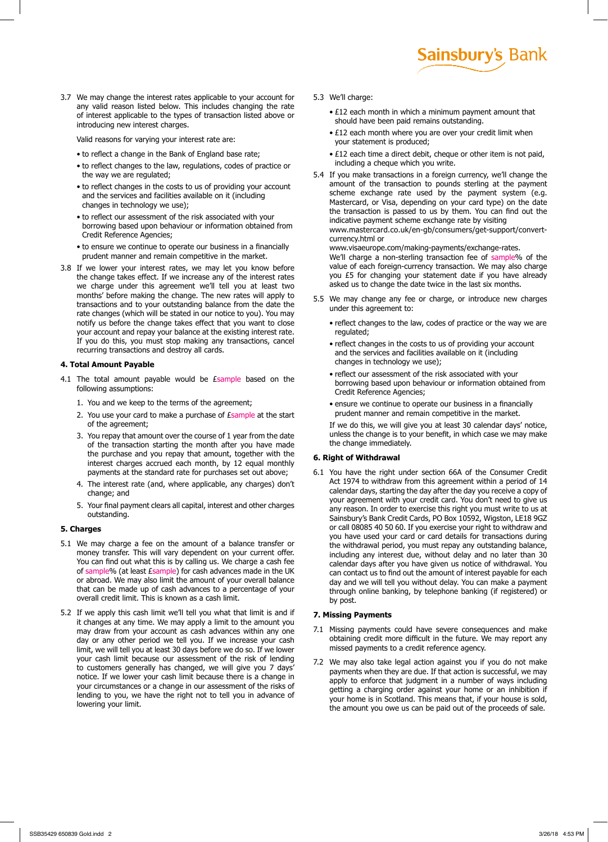3.7 We may change the interest rates applicable to your account for any valid reason listed below. This includes changing the rate of interest applicable to the types of transaction listed above or introducing new interest charges.

Valid reasons for varying your interest rate are:

- to reflect a change in the Bank of England base rate;
- to reflect changes to the law, regulations, codes of practice or the way we are regulated;
- to reflect changes in the costs to us of providing your account and the services and facilities available on it (including changes in technology we use);
- to reflect our assessment of the risk associated with your borrowing based upon behaviour or information obtained from Credit Reference Agencies;
- to ensure we continue to operate our business in a financially prudent manner and remain competitive in the market.
- 3.8 If we lower your interest rates, we may let you know before the change takes effect. If we increase any of the interest rates we charge under this agreement we'll tell you at least two months' before making the change. The new rates will apply to transactions and to your outstanding balance from the date the rate changes (which will be stated in our notice to you). You may notify us before the change takes effect that you want to close your account and repay your balance at the existing interest rate. If you do this, you must stop making any transactions, cancel recurring transactions and destroy all cards.

#### **4. Total Amount Payable**

- 4.1 The total amount payable would be Esample based on the following assumptions:
	- 1. You and we keep to the terms of the agreement;
	- 2. You use your card to make a purchase of *Esample* at the start of the agreement;
	- 3. You repay that amount over the course of 1 year from the date of the transaction starting the month after you have made the purchase and you repay that amount, together with the interest charges accrued each month, by 12 equal monthly payments at the standard rate for purchases set out above;
	- 4. The interest rate (and, where applicable, any charges) don't change; and
	- 5. Your final payment clears all capital, interest and other charges outstanding.

#### **5. Charges**

- 5.1 We may charge a fee on the amount of a balance transfer or money transfer. This will vary dependent on your current offer. You can find out what this is by calling us. We charge a cash fee of sample% (at least £sample) for cash advances made in the UK or abroad. We may also limit the amount of your overall balance that can be made up of cash advances to a percentage of your overall credit limit. This is known as a cash limit.
- 5.2 If we apply this cash limit we'll tell you what that limit is and if it changes at any time. We may apply a limit to the amount you may draw from your account as cash advances within any one day or any other period we tell you. If we increase your cash limit, we will tell you at least 30 days before we do so. If we lower your cash limit because our assessment of the risk of lending to customers generally has changed, we will give you 7 days' notice. If we lower your cash limit because there is a change in your circumstances or a change in our assessment of the risks of lending to you, we have the right not to tell you in advance of lowering your limit.
- 5.3 We'll charge:
	- £12 each month in which a minimum payment amount that should have been paid remains outstanding.

**Sainsbury's Bank** 

- £12 each month where you are over your credit limit when your statement is produced;
- £12 each time a direct debit, cheque or other item is not paid, including a cheque which you write.
- 5.4 If you make transactions in a foreign currency, we'll change the amount of the transaction to pounds sterling at the payment scheme exchange rate used by the payment system (e.g. Mastercard, or Visa, depending on your card type) on the date the transaction is passed to us by them. You can find out the indicative payment scheme exchange rate by visiting www.mastercard.co.uk/en-gb/consumers/get-support/convertcurrency.html or

www.visaeurope.com/making-payments/exchange-rates. We'll charge a non-sterling transaction fee of sample% of the value of each foreign-currency transaction. We may also charge you £5 for changing your statement date if you have already asked us to change the date twice in the last six months.

- 5.5 We may change any fee or charge, or introduce new charges under this agreement to:
	- reflect changes to the law, codes of practice or the way we are regulated;
	- reflect changes in the costs to us of providing your account and the services and facilities available on it (including changes in technology we use);
	- reflect our assessment of the risk associated with your borrowing based upon behaviour or information obtained from Credit Reference Agencies;
	- ensure we continue to operate our business in a financially prudent manner and remain competitive in the market.

If we do this, we will give you at least 30 calendar days' notice, unless the change is to your benefit, in which case we may make the change immediately.

#### **6. Right of Withdrawal**

6.1 You have the right under section 66A of the Consumer Credit Act 1974 to withdraw from this agreement within a period of 14 calendar days, starting the day after the day you receive a copy of your agreement with your credit card. You don't need to give us any reason. In order to exercise this right you must write to us at Sainsbury's Bank Credit Cards, PO Box 10592, Wigston, LE18 9GZ or call 08085 40 50 60. If you exercise your right to withdraw and you have used your card or card details for transactions during the withdrawal period, you must repay any outstanding balance, including any interest due, without delay and no later than 30 calendar days after you have given us notice of withdrawal. You can contact us to find out the amount of interest payable for each day and we will tell you without delay. You can make a payment through online banking, by telephone banking (if registered) or by post.

#### **7. Missing Payments**

- 7.1 Missing payments could have severe consequences and make obtaining credit more difficult in the future. We may report any missed payments to a credit reference agency.
- 7.2 We may also take legal action against you if you do not make payments when they are due. If that action is successful, we may apply to enforce that judgment in a number of ways including getting a charging order against your home or an inhibition if your home is in Scotland. This means that, if your house is sold, the amount you owe us can be paid out of the proceeds of sale.